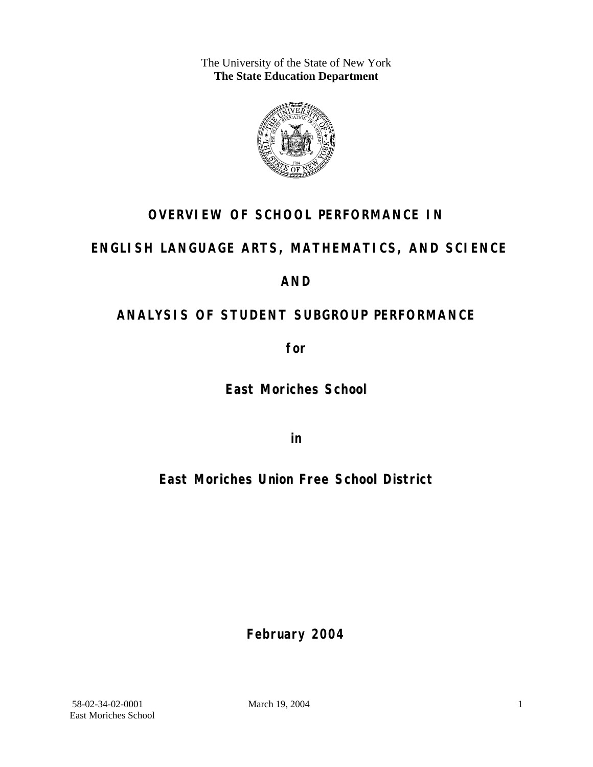The University of the State of New York **The State Education Department** 



# **OVERVIEW OF SCHOOL PERFORMANCE IN**

# **ENGLISH LANGUAGE ARTS, MATHEMATICS, AND SCIENCE**

## **AND**

# **ANALYSIS OF STUDENT SUBGROUP PERFORMANCE**

**for** 

**East Moriches School**

**in** 

**East Moriches Union Free School District**

**February 2004**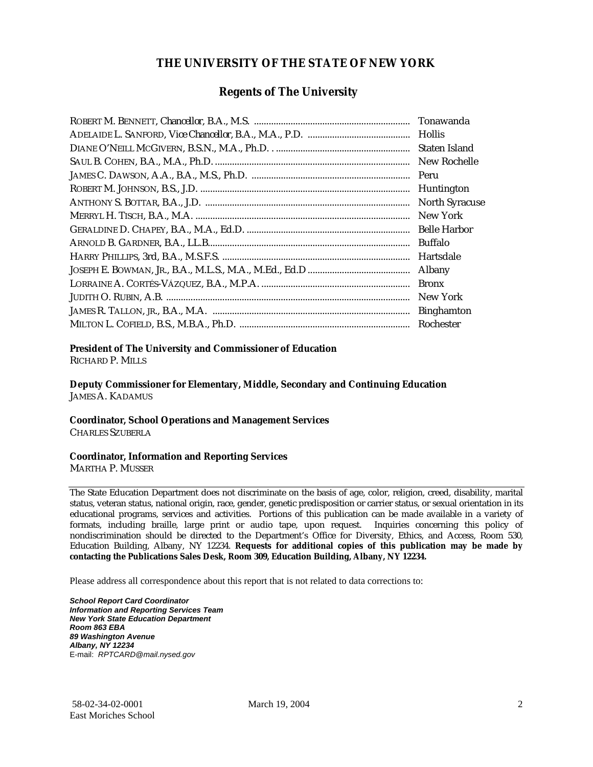#### **THE UNIVERSITY OF THE STATE OF NEW YORK**

#### **Regents of The University**

| Tonawanda             |
|-----------------------|
| <b>Hollis</b>         |
| Staten Island         |
| New Rochelle          |
| Peru                  |
| Huntington            |
| <b>North Syracuse</b> |
| New York              |
| <b>Belle Harbor</b>   |
| Buffalo               |
| Hartsdale             |
| Albany                |
| <b>Bronx</b>          |
| New York              |
| <b>Binghamton</b>     |
| Rochester             |

#### **President of The University and Commissioner of Education**

RICHARD P. MILLS

**Deputy Commissioner for Elementary, Middle, Secondary and Continuing Education**  JAMES A. KADAMUS

#### **Coordinator, School Operations and Management Services**

CHARLES SZUBERLA

#### **Coordinator, Information and Reporting Services**

MARTHA P. MUSSER

The State Education Department does not discriminate on the basis of age, color, religion, creed, disability, marital status, veteran status, national origin, race, gender, genetic predisposition or carrier status, or sexual orientation in its educational programs, services and activities. Portions of this publication can be made available in a variety of formats, including braille, large print or audio tape, upon request. Inquiries concerning this policy of nondiscrimination should be directed to the Department's Office for Diversity, Ethics, and Access, Room 530, Education Building, Albany, NY 12234. **Requests for additional copies of this publication may be made by contacting the Publications Sales Desk, Room 309, Education Building, Albany, NY 12234.** 

Please address all correspondence about this report that is not related to data corrections to:

*School Report Card Coordinator Information and Reporting Services Team New York State Education Department Room 863 EBA 89 Washington Avenue Albany, NY 12234*  E-mail: *RPTCARD@mail.nysed.gov*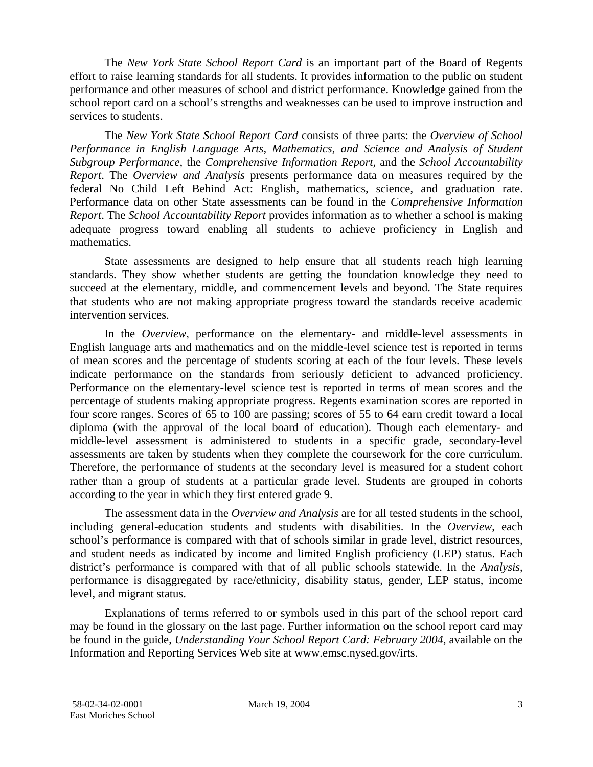The *New York State School Report Card* is an important part of the Board of Regents effort to raise learning standards for all students. It provides information to the public on student performance and other measures of school and district performance. Knowledge gained from the school report card on a school's strengths and weaknesses can be used to improve instruction and services to students.

The *New York State School Report Card* consists of three parts: the *Overview of School Performance in English Language Arts, Mathematics, and Science and Analysis of Student Subgroup Performance,* the *Comprehensive Information Report,* and the *School Accountability Report*. The *Overview and Analysis* presents performance data on measures required by the federal No Child Left Behind Act: English, mathematics, science, and graduation rate. Performance data on other State assessments can be found in the *Comprehensive Information Report*. The *School Accountability Report* provides information as to whether a school is making adequate progress toward enabling all students to achieve proficiency in English and mathematics.

State assessments are designed to help ensure that all students reach high learning standards. They show whether students are getting the foundation knowledge they need to succeed at the elementary, middle, and commencement levels and beyond. The State requires that students who are not making appropriate progress toward the standards receive academic intervention services.

In the *Overview*, performance on the elementary- and middle-level assessments in English language arts and mathematics and on the middle-level science test is reported in terms of mean scores and the percentage of students scoring at each of the four levels. These levels indicate performance on the standards from seriously deficient to advanced proficiency. Performance on the elementary-level science test is reported in terms of mean scores and the percentage of students making appropriate progress. Regents examination scores are reported in four score ranges. Scores of 65 to 100 are passing; scores of 55 to 64 earn credit toward a local diploma (with the approval of the local board of education). Though each elementary- and middle-level assessment is administered to students in a specific grade, secondary-level assessments are taken by students when they complete the coursework for the core curriculum. Therefore, the performance of students at the secondary level is measured for a student cohort rather than a group of students at a particular grade level. Students are grouped in cohorts according to the year in which they first entered grade 9.

The assessment data in the *Overview and Analysis* are for all tested students in the school, including general-education students and students with disabilities. In the *Overview*, each school's performance is compared with that of schools similar in grade level, district resources, and student needs as indicated by income and limited English proficiency (LEP) status. Each district's performance is compared with that of all public schools statewide. In the *Analysis*, performance is disaggregated by race/ethnicity, disability status, gender, LEP status, income level, and migrant status.

Explanations of terms referred to or symbols used in this part of the school report card may be found in the glossary on the last page. Further information on the school report card may be found in the guide, *Understanding Your School Report Card: February 2004*, available on the Information and Reporting Services Web site at www.emsc.nysed.gov/irts.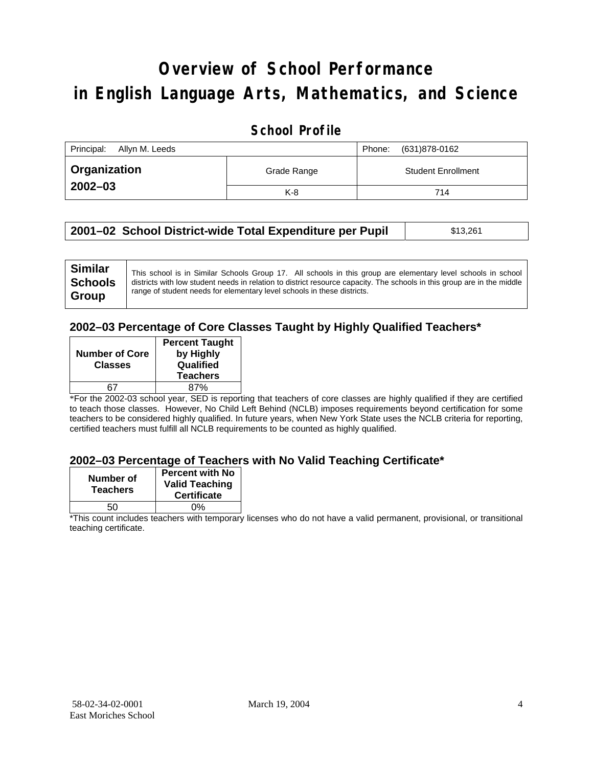# **Overview of School Performance in English Language Arts, Mathematics, and Science**

#### **School Profile**

| Principal:<br>Allyn M. Leeds |             | (631)878-0162<br>Phone:   |
|------------------------------|-------------|---------------------------|
| <b>Organization</b>          | Grade Range | <b>Student Enrollment</b> |
| $2002 - 03$                  | $K-8$       | 714                       |

| 2001–02 School District-wide Total Expenditure per Pupil | \$13,261 |
|----------------------------------------------------------|----------|
|----------------------------------------------------------|----------|

#### **2002–03 Percentage of Core Classes Taught by Highly Qualified Teachers\***

| <b>Percent Taught</b><br>by Highly |
|------------------------------------|
| Qualified                          |
| <b>Teachers</b>                    |
| 87%                                |
|                                    |

\*For the 2002-03 school year, SED is reporting that teachers of core classes are highly qualified if they are certified to teach those classes. However, No Child Left Behind (NCLB) imposes requirements beyond certification for some teachers to be considered highly qualified. In future years, when New York State uses the NCLB criteria for reporting, certified teachers must fulfill all NCLB requirements to be counted as highly qualified.

#### **2002–03 Percentage of Teachers with No Valid Teaching Certificate\***

| Number of<br><b>Teachers</b> | <b>Percent with No</b><br><b>Valid Teaching</b><br><b>Certificate</b> |
|------------------------------|-----------------------------------------------------------------------|
| 50                           | ሰ%                                                                    |

\*This count includes teachers with temporary licenses who do not have a valid permanent, provisional, or transitional teaching certificate.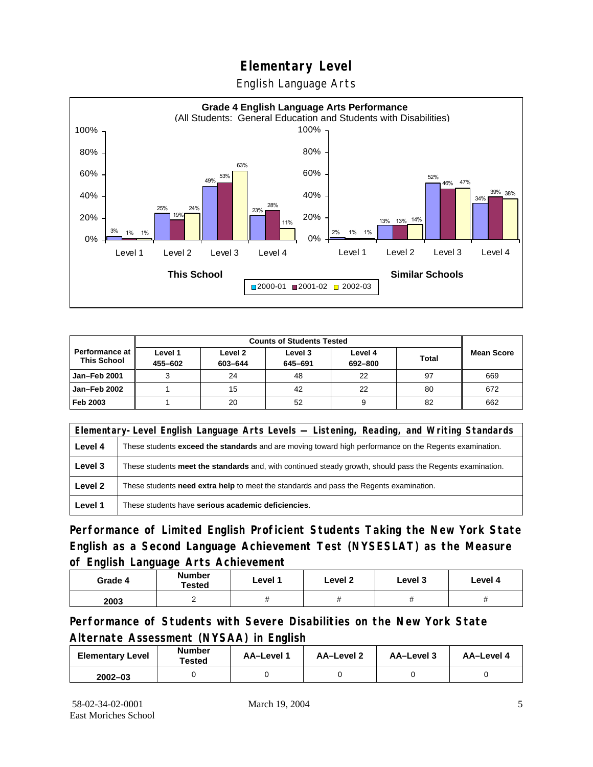English Language Arts



|                                        |                    | <b>Counts of Students Tested</b> |                    |                    |              |                   |
|----------------------------------------|--------------------|----------------------------------|--------------------|--------------------|--------------|-------------------|
| Performance at I<br><b>This School</b> | Level 1<br>455-602 | Level 2<br>603-644               | Level 3<br>645-691 | Level 4<br>692-800 | <b>Total</b> | <b>Mean Score</b> |
| Jan-Feb 2001                           |                    | 24                               | 48                 | 22                 | 97           | 669               |
| Jan-Feb 2002                           |                    | 15                               | 42                 | 22                 | 80           | 672               |
| Feb 2003                               |                    | 20                               | 52                 | 9                  | 82           | 662               |

| Elementary-Level English Language Arts Levels — Listening, Reading, and Writing Standards |                                                                                                           |  |  |  |
|-------------------------------------------------------------------------------------------|-----------------------------------------------------------------------------------------------------------|--|--|--|
| Level 4                                                                                   | These students exceed the standards and are moving toward high performance on the Regents examination.    |  |  |  |
| Level 3                                                                                   | These students meet the standards and, with continued steady growth, should pass the Regents examination. |  |  |  |
| Level 2                                                                                   | These students <b>need extra help</b> to meet the standards and pass the Regents examination.             |  |  |  |
| Level 1                                                                                   | These students have serious academic deficiencies.                                                        |  |  |  |

**Performance of Limited English Proficient Students Taking the New York State English as a Second Language Achievement Test (NYSESLAT) as the Measure of English Language Arts Achievement**

| Grade 4 | <b>Number</b><br><b>Tested</b> | Level 1     | Level 2 | Level 3  | Level 4 |
|---------|--------------------------------|-------------|---------|----------|---------|
| 2003    |                                | $^{\prime}$ | π       | $^{\pi}$ | π       |

**Performance of Students with Severe Disabilities on the New York State Alternate Assessment (NYSAA) in English** 

| <b>Elementary Level</b> | <b>Number</b><br>Tested | AA-Level 1 | AA-Level 2 | AA-Level 3 | AA-Level 4 |
|-------------------------|-------------------------|------------|------------|------------|------------|
| $2002 - 03$             |                         |            |            |            |            |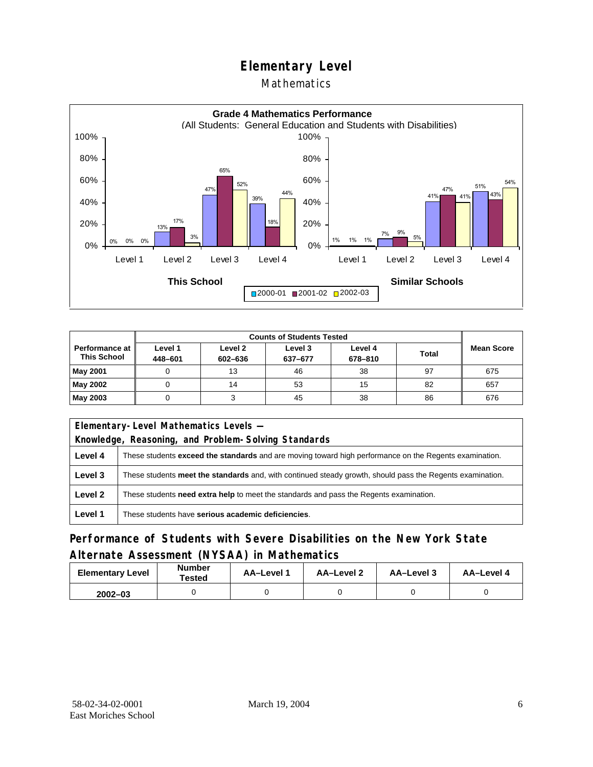#### **Mathematics**



|                                             | <b>Counts of Students Tested</b> |                    |                    |                    |              |                   |
|---------------------------------------------|----------------------------------|--------------------|--------------------|--------------------|--------------|-------------------|
| <b>Performance at</b><br><b>This School</b> | Level 1<br>448-601               | Level 2<br>602-636 | Level 3<br>637-677 | Level 4<br>678-810 | <b>Total</b> | <b>Mean Score</b> |
| <b>May 2001</b>                             |                                  | 13                 | 46                 | 38                 | 97           | 675               |
| May 2002                                    |                                  | 14                 | 53                 | 15                 | 82           | 657               |
| May 2003                                    |                                  |                    | 45                 | 38                 | 86           | 676               |

|         | Elementary-Level Mathematics Levels -                                                                         |  |  |  |  |
|---------|---------------------------------------------------------------------------------------------------------------|--|--|--|--|
|         | Knowledge, Reasoning, and Problem-Solving Standards                                                           |  |  |  |  |
| Level 4 | These students <b>exceed the standards</b> and are moving toward high performance on the Regents examination. |  |  |  |  |
| Level 3 | These students meet the standards and, with continued steady growth, should pass the Regents examination.     |  |  |  |  |
| Level 2 | These students need extra help to meet the standards and pass the Regents examination.                        |  |  |  |  |
| Level 1 | These students have serious academic deficiencies.                                                            |  |  |  |  |

### **Performance of Students with Severe Disabilities on the New York State Alternate Assessment (NYSAA) in Mathematics**

| <b>Elementary Level</b> | <b>Number</b><br>Tested | AA-Level 1 | AA-Level 2 | AA-Level 3 | AA-Level 4 |
|-------------------------|-------------------------|------------|------------|------------|------------|
| $2002 - 03$             |                         |            |            |            |            |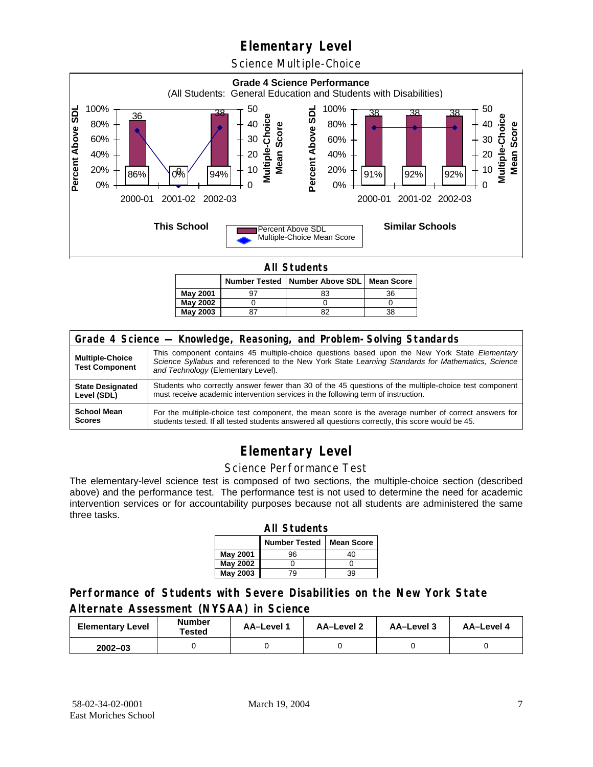Science Multiple-Choice



**All Students** 

|                 |  | Number Tested   Number Above SDL   Mean Score |    |  |  |  |  |
|-----------------|--|-----------------------------------------------|----|--|--|--|--|
| <b>May 2001</b> |  | 83                                            | 36 |  |  |  |  |
| <b>May 2002</b> |  |                                               |    |  |  |  |  |
| <b>May 2003</b> |  |                                               | 38 |  |  |  |  |

| Grade 4 Science - Knowledge, Reasoning, and Problem-Solving Standards |                                                                                                                                                                                                                                          |  |  |  |  |
|-----------------------------------------------------------------------|------------------------------------------------------------------------------------------------------------------------------------------------------------------------------------------------------------------------------------------|--|--|--|--|
| <b>Multiple-Choice</b><br><b>Test Component</b>                       | This component contains 45 multiple-choice questions based upon the New York State Elementary<br>Science Syllabus and referenced to the New York State Learning Standards for Mathematics, Science<br>and Technology (Elementary Level). |  |  |  |  |
| <b>State Designated</b>                                               | Students who correctly answer fewer than 30 of the 45 questions of the multiple-choice test component                                                                                                                                    |  |  |  |  |
| Level (SDL)                                                           | must receive academic intervention services in the following term of instruction.                                                                                                                                                        |  |  |  |  |
| <b>School Mean</b>                                                    | For the multiple-choice test component, the mean score is the average number of correct answers for                                                                                                                                      |  |  |  |  |
| <b>Scores</b>                                                         | students tested. If all tested students answered all questions correctly, this score would be 45.                                                                                                                                        |  |  |  |  |

# **Elementary Level**

#### Science Performance Test

The elementary-level science test is composed of two sections, the multiple-choice section (described above) and the performance test. The performance test is not used to determine the need for academic intervention services or for accountability purposes because not all students are administered the same three tasks.

| <b>All Students</b>                       |    |    |  |  |  |
|-------------------------------------------|----|----|--|--|--|
| <b>Number Tested</b><br><b>Mean Score</b> |    |    |  |  |  |
| May 2001                                  | 96 | 40 |  |  |  |
| May 2002                                  |    |    |  |  |  |
| <b>May 2003</b>                           | q  | 39 |  |  |  |

#### **Performance of Students with Severe Disabilities on the New York State Alternate Assessment (NYSAA) in Science**

| <b>Elementary Level</b> | <b>Number</b><br>Tested | AA-Level 1 | AA-Level 2 | AA-Level 3 | AA-Level 4 |
|-------------------------|-------------------------|------------|------------|------------|------------|
| $2002 - 03$             |                         |            |            |            |            |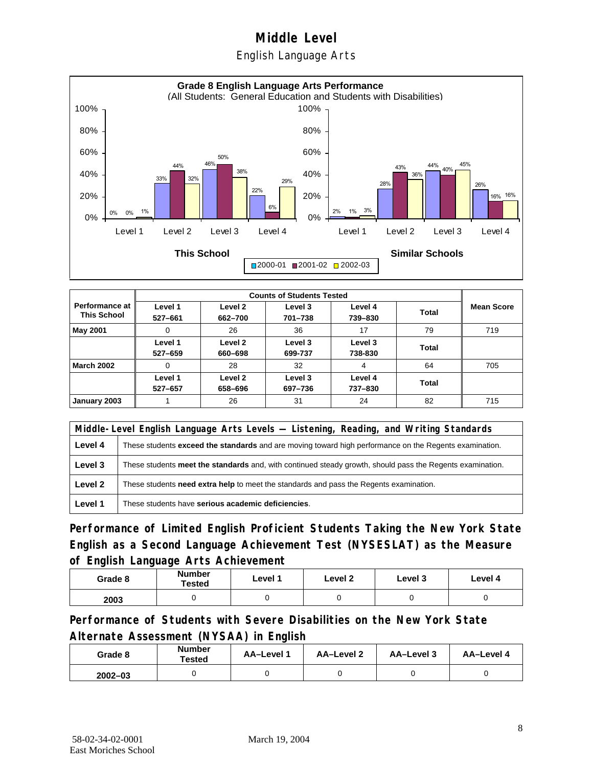English Language Arts



|                                             |                    | <b>Counts of Students Tested</b> |                    |                    |              |                   |  |  |
|---------------------------------------------|--------------------|----------------------------------|--------------------|--------------------|--------------|-------------------|--|--|
| <b>Performance at</b><br><b>This School</b> | Level 1<br>527-661 | Level 2<br>662-700               | Level 3<br>701-738 | Level 4<br>739-830 | <b>Total</b> | <b>Mean Score</b> |  |  |
| May 2001                                    | 0                  | 26                               | 36                 | 17                 | 79           | 719               |  |  |
|                                             | Level 1<br>527-659 | Level 2<br>660-698               | Level 3<br>699-737 | Level 3<br>738-830 | Total        |                   |  |  |
| <b>March 2002</b>                           | 0                  | 28                               | 32                 | 4                  | 64           | 705               |  |  |
|                                             | Level 1<br>527-657 | Level 2<br>658-696               | Level 3<br>697-736 | Level 4<br>737-830 | Total        |                   |  |  |
| January 2003                                |                    | 26                               | 31                 | 24                 | 82           | 715               |  |  |

|         | Middle-Level English Language Arts Levels — Listening, Reading, and Writing Standards                         |  |  |  |  |
|---------|---------------------------------------------------------------------------------------------------------------|--|--|--|--|
| Level 4 | These students <b>exceed the standards</b> and are moving toward high performance on the Regents examination. |  |  |  |  |
| Level 3 | These students meet the standards and, with continued steady growth, should pass the Regents examination.     |  |  |  |  |
| Level 2 | These students need extra help to meet the standards and pass the Regents examination.                        |  |  |  |  |
| Level 1 | These students have serious academic deficiencies.                                                            |  |  |  |  |

**Performance of Limited English Proficient Students Taking the New York State English as a Second Language Achievement Test (NYSESLAT) as the Measure of English Language Arts Achievement**

| Grade 8 | <b>Number</b><br>Tested | Level 1 | Level 2 | Level 3 | Level 4 |
|---------|-------------------------|---------|---------|---------|---------|
| 2003    |                         |         |         |         |         |

**Performance of Students with Severe Disabilities on the New York State Alternate Assessment (NYSAA) in English** 

| Grade 8     | Number<br>Tested | AA-Level 1 | AA-Level 2 | AA-Level 3 | AA-Level 4 |
|-------------|------------------|------------|------------|------------|------------|
| $2002 - 03$ |                  |            |            |            |            |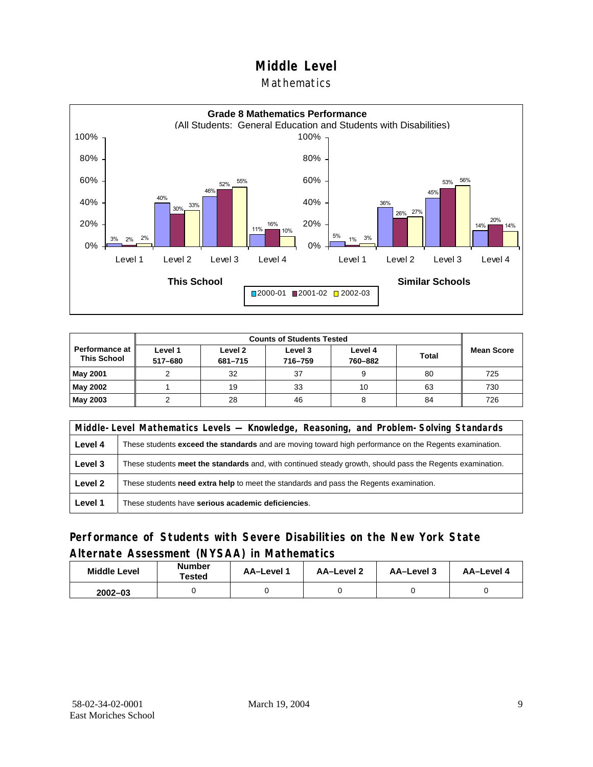#### Mathematics



| <b>Counts of Students Tested</b>     |                    |                    |                    |                    |              |                   |  |
|--------------------------------------|--------------------|--------------------|--------------------|--------------------|--------------|-------------------|--|
| Performance at<br><b>This School</b> | Level 1<br>517-680 | Level 2<br>681-715 | Level 3<br>716-759 | Level 4<br>760-882 | <b>Total</b> | <b>Mean Score</b> |  |
| <b>May 2001</b>                      |                    | 32                 | 37                 |                    | 80           | 725               |  |
| May 2002                             |                    | 19                 | 33                 | 10                 | 63           | 730               |  |
| May 2003                             |                    | 28                 | 46                 |                    | 84           | 726               |  |

|         | Middle-Level Mathematics Levels — Knowledge, Reasoning, and Problem-Solving Standards                     |  |  |  |  |
|---------|-----------------------------------------------------------------------------------------------------------|--|--|--|--|
| Level 4 | These students exceed the standards and are moving toward high performance on the Regents examination.    |  |  |  |  |
| Level 3 | These students meet the standards and, with continued steady growth, should pass the Regents examination. |  |  |  |  |
| Level 2 | These students <b>need extra help</b> to meet the standards and pass the Regents examination.             |  |  |  |  |
| Level 1 | These students have serious academic deficiencies.                                                        |  |  |  |  |

#### **Performance of Students with Severe Disabilities on the New York State Alternate Assessment (NYSAA) in Mathematics**

| <b>Middle Level</b> | <b>Number</b><br><b>Tested</b> | AA-Level | AA-Level 2 | AA-Level 3 | AA-Level 4 |
|---------------------|--------------------------------|----------|------------|------------|------------|
| $2002 - 03$         |                                |          |            |            |            |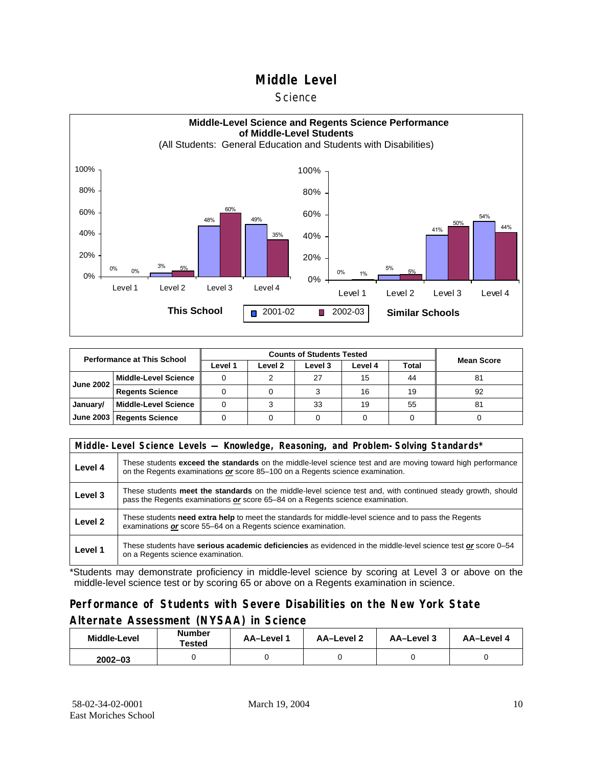#### **Science**



| <b>Performance at This School</b> |                             |         |         |         |         |       |                   |
|-----------------------------------|-----------------------------|---------|---------|---------|---------|-------|-------------------|
|                                   |                             | Level 1 | Level 2 | Level 3 | Level 4 | Total | <b>Mean Score</b> |
| <b>June 2002</b>                  | l Middle-Level Science      |         |         | 27      | 15      | 44    | 81                |
|                                   | <b>Regents Science</b>      |         |         |         | 16      | 19    | 92                |
| January/                          | Middle-Level Science        |         |         | 33      | 19      | 55    | 81                |
|                                   | June 2003   Regents Science |         |         |         |         |       |                   |

|         | Middle-Level Science Levels — Knowledge, Reasoning, and Problem-Solving Standards*                                                                                                                  |  |  |  |  |  |  |  |
|---------|-----------------------------------------------------------------------------------------------------------------------------------------------------------------------------------------------------|--|--|--|--|--|--|--|
| Level 4 | These students <b>exceed the standards</b> on the middle-level science test and are moving toward high performance<br>on the Regents examinations or score 85–100 on a Regents science examination. |  |  |  |  |  |  |  |
| Level 3 | These students meet the standards on the middle-level science test and, with continued steady growth, should<br>pass the Regents examinations or score 65–84 on a Regents science examination.      |  |  |  |  |  |  |  |
| Level 2 | These students need extra help to meet the standards for middle-level science and to pass the Regents<br>examinations or score 55–64 on a Regents science examination.                              |  |  |  |  |  |  |  |
| Level 1 | These students have serious academic deficiencies as evidenced in the middle-level science test or score 0–54<br>on a Regents science examination.                                                  |  |  |  |  |  |  |  |

\*Students may demonstrate proficiency in middle-level science by scoring at Level 3 or above on the middle-level science test or by scoring 65 or above on a Regents examination in science.

#### **Performance of Students with Severe Disabilities on the New York State Alternate Assessment (NYSAA) in Science**

| Middle-Level | <b>Number</b><br>Tested |  | AA-Level 2 | AA-Level 3 | AA-Level 4 |  |
|--------------|-------------------------|--|------------|------------|------------|--|
| $2002 - 03$  |                         |  |            |            |            |  |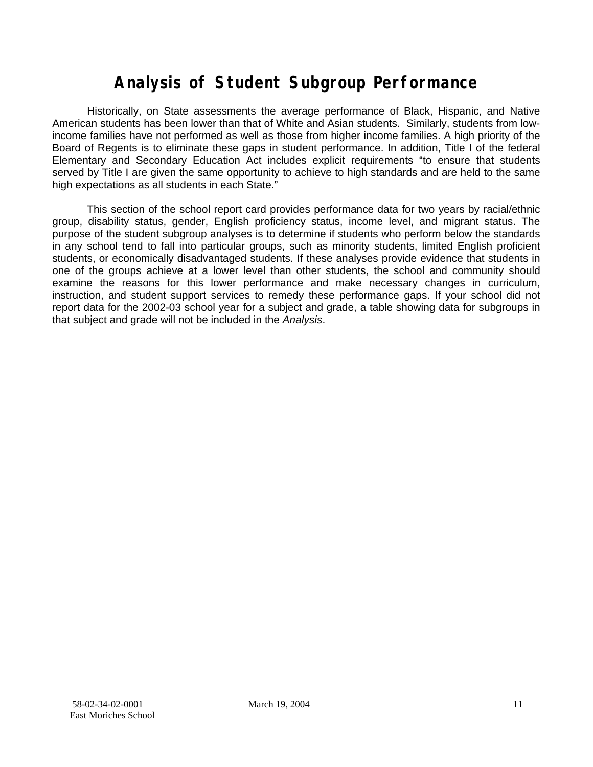# **Analysis of Student Subgroup Performance**

Historically, on State assessments the average performance of Black, Hispanic, and Native American students has been lower than that of White and Asian students. Similarly, students from lowincome families have not performed as well as those from higher income families. A high priority of the Board of Regents is to eliminate these gaps in student performance. In addition, Title I of the federal Elementary and Secondary Education Act includes explicit requirements "to ensure that students served by Title I are given the same opportunity to achieve to high standards and are held to the same high expectations as all students in each State."

This section of the school report card provides performance data for two years by racial/ethnic group, disability status, gender, English proficiency status, income level, and migrant status. The purpose of the student subgroup analyses is to determine if students who perform below the standards in any school tend to fall into particular groups, such as minority students, limited English proficient students, or economically disadvantaged students. If these analyses provide evidence that students in one of the groups achieve at a lower level than other students, the school and community should examine the reasons for this lower performance and make necessary changes in curriculum, instruction, and student support services to remedy these performance gaps. If your school did not report data for the 2002-03 school year for a subject and grade, a table showing data for subgroups in that subject and grade will not be included in the *Analysis*.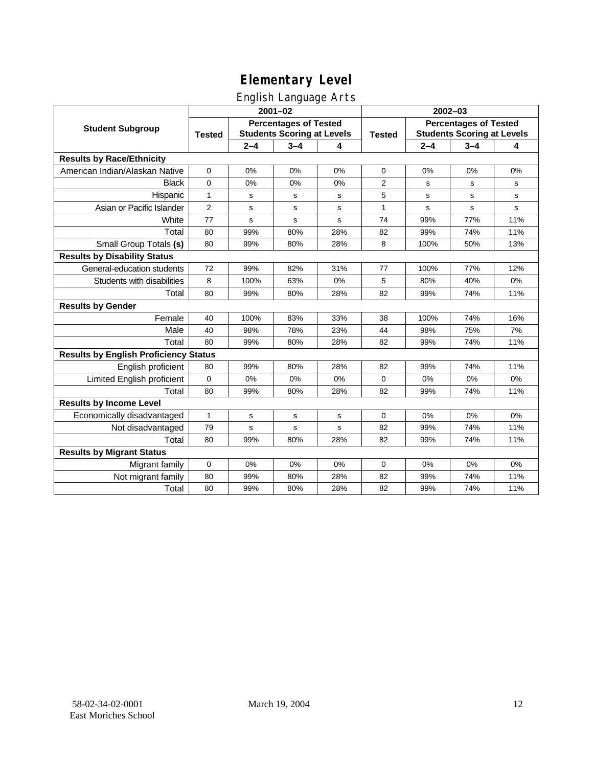## English Language Arts

|                                              |                |                                                                   | <u>gue a mangenge a ne</u><br>$2001 - 02$ |     | $2002 - 03$    |                                                                   |                                                                                                                                        |             |  |
|----------------------------------------------|----------------|-------------------------------------------------------------------|-------------------------------------------|-----|----------------|-------------------------------------------------------------------|----------------------------------------------------------------------------------------------------------------------------------------|-------------|--|
| <b>Student Subgroup</b>                      | <b>Tested</b>  | <b>Percentages of Tested</b><br><b>Students Scoring at Levels</b> |                                           |     |                | <b>Percentages of Tested</b><br><b>Students Scoring at Levels</b> |                                                                                                                                        |             |  |
|                                              |                | $2 - 4$                                                           | $3 - 4$                                   | 4   |                | $2 - 4$                                                           | $3 - 4$<br>0%<br>s<br>$\mathbf s$<br>s<br>77%<br>74%<br>50%<br>77%<br>40%<br>74%<br>74%<br>75%<br>74%<br>74%<br>0%<br>74%<br>0%<br>74% | 4           |  |
| <b>Results by Race/Ethnicity</b>             |                |                                                                   |                                           |     |                |                                                                   |                                                                                                                                        |             |  |
| American Indian/Alaskan Native               | $\mathbf 0$    | 0%                                                                | 0%                                        | 0%  | $\mathbf 0$    | 0%                                                                |                                                                                                                                        | 0%          |  |
| <b>Black</b>                                 | $\mathbf{0}$   | 0%                                                                | 0%                                        | 0%  | $\overline{2}$ | s                                                                 |                                                                                                                                        | s           |  |
| Hispanic                                     | $\mathbf{1}$   | s                                                                 | $\mathbf s$                               | s   | 5              | s                                                                 |                                                                                                                                        | $\mathbf s$ |  |
| Asian or Pacific Islander                    | $\overline{2}$ | s                                                                 | s                                         | s   | 1              | s                                                                 |                                                                                                                                        | ${\tt s}$   |  |
| White                                        | 77             | $\mathbf s$                                                       | $\mathbf s$                               | s   | 74             | 99%                                                               |                                                                                                                                        | 11%         |  |
| Total                                        | 80             | 99%                                                               | 80%                                       | 28% | 82             | 99%                                                               |                                                                                                                                        | 11%         |  |
| Small Group Totals (s)                       | 80             | 99%                                                               | 80%                                       | 28% | 8              | 100%                                                              |                                                                                                                                        | 13%         |  |
| <b>Results by Disability Status</b>          |                |                                                                   |                                           |     |                |                                                                   |                                                                                                                                        |             |  |
| General-education students                   | 72             | 99%                                                               | 82%                                       | 31% | 77             | 100%                                                              |                                                                                                                                        | 12%         |  |
| Students with disabilities                   | 8              | 100%                                                              | 63%                                       | 0%  | 5              | 80%                                                               |                                                                                                                                        | 0%          |  |
| Total                                        | 80             | 99%                                                               | 80%                                       | 28% | 82             | 99%                                                               |                                                                                                                                        | 11%         |  |
| <b>Results by Gender</b>                     |                |                                                                   |                                           |     |                |                                                                   |                                                                                                                                        |             |  |
| Female                                       | 40             | 100%                                                              | 83%                                       | 33% | 38             | 100%                                                              |                                                                                                                                        | 16%         |  |
| Male                                         | 40             | 98%                                                               | 78%                                       | 23% | 44             | 98%                                                               |                                                                                                                                        | 7%          |  |
| Total                                        | 80             | 99%                                                               | 80%                                       | 28% | 82             | 99%                                                               |                                                                                                                                        | 11%         |  |
| <b>Results by English Proficiency Status</b> |                |                                                                   |                                           |     |                |                                                                   |                                                                                                                                        |             |  |
| English proficient                           | 80             | 99%                                                               | 80%                                       | 28% | 82             | 99%                                                               |                                                                                                                                        | 11%         |  |
| Limited English proficient                   | $\mathbf 0$    | 0%                                                                | 0%                                        | 0%  | $\mathbf 0$    | 0%                                                                |                                                                                                                                        | 0%          |  |
| Total                                        | 80             | 99%                                                               | 80%                                       | 28% | 82             | 99%                                                               |                                                                                                                                        | 11%         |  |
| <b>Results by Income Level</b>               |                |                                                                   |                                           |     |                |                                                                   |                                                                                                                                        |             |  |
| Economically disadvantaged                   | 1              | s                                                                 | $\mathsf{s}$                              | s   | 0              | 0%                                                                |                                                                                                                                        | 0%          |  |
| Not disadvantaged                            | 79             | s                                                                 | $\mathbf s$                               | s   | 82             | 99%                                                               |                                                                                                                                        | 11%         |  |
| Total                                        | 80             | 99%                                                               | 80%                                       | 28% | 82             | 99%                                                               | 74%                                                                                                                                    | 11%         |  |
| <b>Results by Migrant Status</b>             |                |                                                                   |                                           |     |                |                                                                   |                                                                                                                                        |             |  |
| Migrant family                               | $\mathbf 0$    | 0%                                                                | 0%                                        | 0%  | 0              | 0%                                                                | 0%                                                                                                                                     | 0%          |  |
| Not migrant family                           | 80             | 99%                                                               | 80%                                       | 28% | 82             | 99%                                                               | 74%                                                                                                                                    | 11%         |  |
| Total                                        | 80             | 99%                                                               | 80%                                       | 28% | 82             | 99%                                                               | 74%                                                                                                                                    | 11%         |  |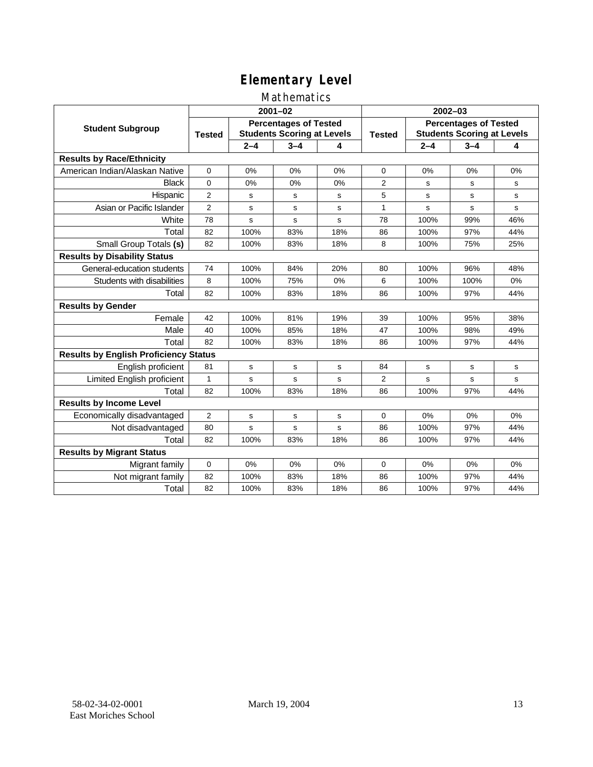# Mathematics

|                                              |                                                                                    |             | $2001 - 02$ |               | $2002 - 03$                                                       |         |             |     |  |
|----------------------------------------------|------------------------------------------------------------------------------------|-------------|-------------|---------------|-------------------------------------------------------------------|---------|-------------|-----|--|
| <b>Student Subgroup</b>                      | <b>Percentages of Tested</b><br><b>Students Scoring at Levels</b><br><b>Tested</b> |             |             | <b>Tested</b> | <b>Percentages of Tested</b><br><b>Students Scoring at Levels</b> |         |             |     |  |
|                                              |                                                                                    | $2 - 4$     | $3 - 4$     | 4             |                                                                   | $2 - 4$ | $3 - 4$     | 4   |  |
| <b>Results by Race/Ethnicity</b>             |                                                                                    |             |             |               |                                                                   |         |             |     |  |
| American Indian/Alaskan Native               | $\Omega$                                                                           | 0%          | 0%          | 0%            | $\Omega$                                                          | 0%      | 0%          | 0%  |  |
| <b>Black</b>                                 | 0                                                                                  | 0%          | 0%          | 0%            | $\overline{2}$                                                    | s       | s           | s   |  |
| Hispanic                                     | $\overline{2}$                                                                     | s           | s           | s             | 5                                                                 | s       | s           | s   |  |
| Asian or Pacific Islander                    | $\overline{2}$                                                                     | s           | s           | s             | 1                                                                 | s       | s           | s   |  |
| White                                        | 78                                                                                 | s           | $\mathbf s$ | s             | 78                                                                | 100%    | 99%         | 46% |  |
| Total                                        | 82                                                                                 | 100%        | 83%         | 18%           | 86                                                                | 100%    | 97%         | 44% |  |
| Small Group Totals (s)                       | 82                                                                                 | 100%        | 83%         | 18%           | 8                                                                 | 100%    | 75%         | 25% |  |
| <b>Results by Disability Status</b>          |                                                                                    |             |             |               |                                                                   |         |             |     |  |
| General-education students                   | 74                                                                                 | 100%        | 84%         | 20%           | 80                                                                | 100%    | 96%         | 48% |  |
| Students with disabilities                   | 8                                                                                  | 100%        | 75%         | 0%            | 6                                                                 | 100%    | 100%        | 0%  |  |
| Total                                        | 82                                                                                 | 100%        | 83%         | 18%           | 86                                                                | 100%    | 97%         | 44% |  |
| <b>Results by Gender</b>                     |                                                                                    |             |             |               |                                                                   |         |             |     |  |
| Female                                       | 42                                                                                 | 100%        | 81%         | 19%           | 39                                                                | 100%    | 95%         | 38% |  |
| Male                                         | 40                                                                                 | 100%        | 85%         | 18%           | 47                                                                | 100%    | 98%         | 49% |  |
| Total                                        | 82                                                                                 | 100%        | 83%         | 18%           | 86                                                                | 100%    | 97%         | 44% |  |
| <b>Results by English Proficiency Status</b> |                                                                                    |             |             |               |                                                                   |         |             |     |  |
| English proficient                           | 81                                                                                 | $\mathbf s$ | s           | s             | 84                                                                | s       | $\mathbf s$ | s   |  |
| Limited English proficient                   | $\mathbf{1}$                                                                       | s           | s           | s             | $\overline{2}$                                                    | s       | s           | s   |  |
| Total                                        | 82                                                                                 | 100%        | 83%         | 18%           | 86                                                                | 100%    | 97%         | 44% |  |
| <b>Results by Income Level</b>               |                                                                                    |             |             |               |                                                                   |         |             |     |  |
| Economically disadvantaged                   | $\overline{2}$                                                                     | s           | s           | s             | $\mathbf 0$                                                       | 0%      | 0%          | 0%  |  |
| Not disadvantaged                            | 80                                                                                 | s           | s           | s             | 86                                                                | 100%    | 97%         | 44% |  |
| Total                                        | 82                                                                                 | 100%        | 83%         | 18%           | 86                                                                | 100%    | 97%         | 44% |  |
| <b>Results by Migrant Status</b>             |                                                                                    |             |             |               |                                                                   |         |             |     |  |
| Migrant family                               | 0                                                                                  | 0%          | 0%          | 0%            | 0                                                                 | 0%      | 0%          | 0%  |  |
| Not migrant family                           | 82                                                                                 | 100%        | 83%         | 18%           | 86                                                                | 100%    | 97%         | 44% |  |
| Total                                        | 82                                                                                 | 100%        | 83%         | 18%           | 86                                                                | 100%    | 97%         | 44% |  |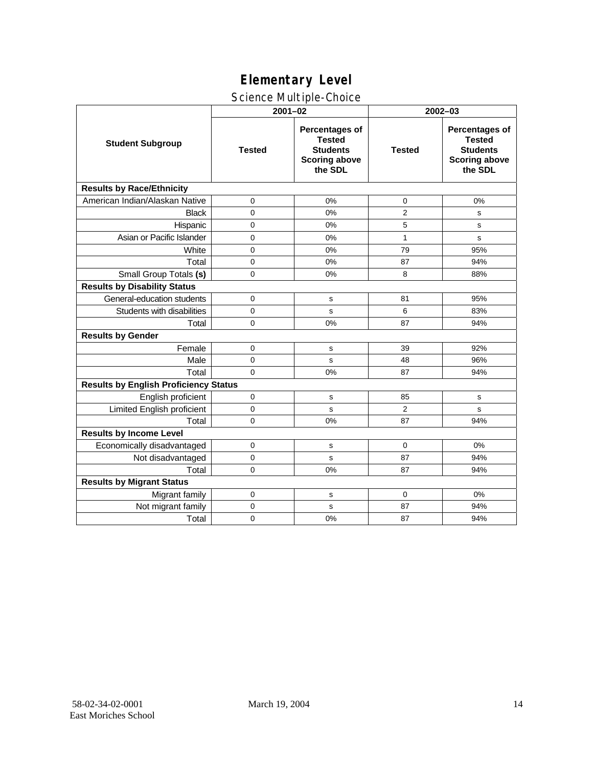## Science Multiple-Choice

|                                              | $2001 - 02$   |                                                                                              | 2002-03        |                                                                                       |  |  |
|----------------------------------------------|---------------|----------------------------------------------------------------------------------------------|----------------|---------------------------------------------------------------------------------------|--|--|
| <b>Student Subgroup</b>                      | <b>Tested</b> | <b>Percentages of</b><br><b>Tested</b><br><b>Students</b><br><b>Scoring above</b><br>the SDL | <b>Tested</b>  | Percentages of<br><b>Tested</b><br><b>Students</b><br><b>Scoring above</b><br>the SDL |  |  |
| <b>Results by Race/Ethnicity</b>             |               |                                                                                              |                |                                                                                       |  |  |
| American Indian/Alaskan Native               | 0             | 0%                                                                                           | $\mathbf 0$    | 0%                                                                                    |  |  |
| <b>Black</b>                                 | $\Omega$      | 0%                                                                                           | 2              | s                                                                                     |  |  |
| Hispanic                                     | $\mathbf 0$   | 0%                                                                                           | 5              | s                                                                                     |  |  |
| Asian or Pacific Islander                    | $\mathbf 0$   | 0%                                                                                           | 1              | s                                                                                     |  |  |
| White                                        | 0             | 0%                                                                                           | 79             | 95%                                                                                   |  |  |
| Total                                        | $\mathbf 0$   | 0%                                                                                           | 87             | 94%                                                                                   |  |  |
| Small Group Totals (s)                       | $\mathbf 0$   | 0%                                                                                           | 8              | 88%                                                                                   |  |  |
| <b>Results by Disability Status</b>          |               |                                                                                              |                |                                                                                       |  |  |
| General-education students                   | $\mathbf 0$   | s                                                                                            | 81             | 95%                                                                                   |  |  |
| Students with disabilities                   | $\mathbf 0$   | s                                                                                            | 6              | 83%                                                                                   |  |  |
| Total                                        | $\Omega$      | 0%                                                                                           | 87             | 94%                                                                                   |  |  |
| <b>Results by Gender</b>                     |               |                                                                                              |                |                                                                                       |  |  |
| Female                                       | $\Omega$      | s                                                                                            | 39             | 92%                                                                                   |  |  |
| Male                                         | $\mathbf 0$   | s                                                                                            | 48             | 96%                                                                                   |  |  |
| Total                                        | $\Omega$      | 0%                                                                                           | 87             | 94%                                                                                   |  |  |
| <b>Results by English Proficiency Status</b> |               |                                                                                              |                |                                                                                       |  |  |
| English proficient                           | $\mathbf 0$   | s                                                                                            | 85             | s                                                                                     |  |  |
| Limited English proficient                   | $\mathbf 0$   | s                                                                                            | $\overline{2}$ | s                                                                                     |  |  |
| Total                                        | 0             | 0%                                                                                           | 87             | 94%                                                                                   |  |  |
| <b>Results by Income Level</b>               |               |                                                                                              |                |                                                                                       |  |  |
| Economically disadvantaged                   | $\mathbf 0$   | s                                                                                            | $\Omega$       | 0%                                                                                    |  |  |
| Not disadvantaged                            | $\Omega$      | s                                                                                            | 87             | 94%                                                                                   |  |  |
| Total                                        | $\Omega$      | 0%                                                                                           | 87             | 94%                                                                                   |  |  |
| <b>Results by Migrant Status</b>             |               |                                                                                              |                |                                                                                       |  |  |
| Migrant family                               | 0             | s                                                                                            | 0              | 0%                                                                                    |  |  |
| Not migrant family                           | 0             | s                                                                                            | 87             | 94%                                                                                   |  |  |
| Total                                        | $\mathbf 0$   | 0%                                                                                           | 87             | 94%                                                                                   |  |  |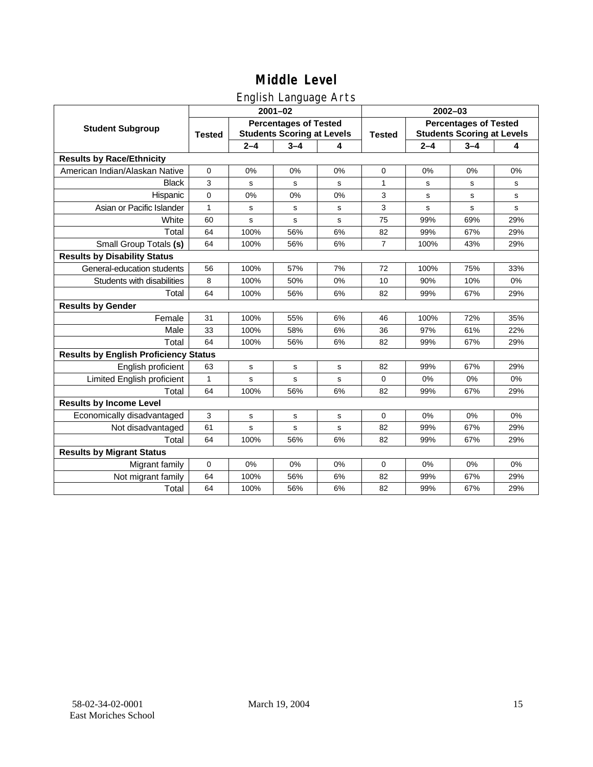### English Language Arts

|                                              |               |                                                                   | ◡<br>$2001 - 02$ |    | 2002-03        |                                                                   |         |     |  |
|----------------------------------------------|---------------|-------------------------------------------------------------------|------------------|----|----------------|-------------------------------------------------------------------|---------|-----|--|
| <b>Student Subgroup</b>                      | <b>Tested</b> | <b>Percentages of Tested</b><br><b>Students Scoring at Levels</b> |                  |    | <b>Tested</b>  | <b>Percentages of Tested</b><br><b>Students Scoring at Levels</b> |         |     |  |
|                                              |               | $2 - 4$                                                           | $3 - 4$          | 4  |                | $2 - 4$                                                           | $3 - 4$ | 4   |  |
| <b>Results by Race/Ethnicity</b>             |               |                                                                   |                  |    |                |                                                                   |         |     |  |
| American Indian/Alaskan Native               | $\mathbf 0$   | 0%                                                                | 0%               | 0% | $\mathbf 0$    | 0%                                                                | 0%      | 0%  |  |
| <b>Black</b>                                 | 3             | s                                                                 | s                | s  | 1              | s                                                                 | s       | s   |  |
| Hispanic                                     | $\mathbf 0$   | 0%                                                                | 0%               | 0% | 3              | $\mathbf s$                                                       | s       | s   |  |
| Asian or Pacific Islander                    | 1             | s                                                                 | s                | s  | 3              | s                                                                 | s       | s   |  |
| White                                        | 60            | s                                                                 | s                | s  | 75             | 99%                                                               | 69%     | 29% |  |
| Total                                        | 64            | 100%                                                              | 56%              | 6% | 82             | 99%                                                               | 67%     | 29% |  |
| Small Group Totals (s)                       | 64            | 100%                                                              | 56%              | 6% | $\overline{7}$ | 100%                                                              | 43%     | 29% |  |
| <b>Results by Disability Status</b>          |               |                                                                   |                  |    |                |                                                                   |         |     |  |
| General-education students                   | 56            | 100%                                                              | 57%              | 7% | 72             | 100%                                                              | 75%     | 33% |  |
| Students with disabilities                   | 8             | 100%                                                              | 50%              | 0% | 10             | 90%                                                               | 10%     | 0%  |  |
| Total                                        | 64            | 100%                                                              | 56%              | 6% | 82             | 99%                                                               | 67%     | 29% |  |
| <b>Results by Gender</b>                     |               |                                                                   |                  |    |                |                                                                   |         |     |  |
| Female                                       | 31            | 100%                                                              | 55%              | 6% | 46             | 100%                                                              | 72%     | 35% |  |
| Male                                         | 33            | 100%                                                              | 58%              | 6% | 36             | 97%                                                               | 61%     | 22% |  |
| Total                                        | 64            | 100%                                                              | 56%              | 6% | 82             | 99%                                                               | 67%     | 29% |  |
| <b>Results by English Proficiency Status</b> |               |                                                                   |                  |    |                |                                                                   |         |     |  |
| English proficient                           | 63            | $\mathbf s$                                                       | $\mathbf s$      | s  | 82             | 99%                                                               | 67%     | 29% |  |
| Limited English proficient                   | 1             | s                                                                 | $\mathbf s$      | s  | $\Omega$       | 0%                                                                | 0%      | 0%  |  |
| Total                                        | 64            | 100%                                                              | 56%              | 6% | 82             | 99%                                                               | 67%     | 29% |  |
| <b>Results by Income Level</b>               |               |                                                                   |                  |    |                |                                                                   |         |     |  |
| Economically disadvantaged                   | 3             | s                                                                 | s                | s  | $\Omega$       | 0%                                                                | 0%      | 0%  |  |
| Not disadvantaged                            | 61            | s                                                                 | $\mathbf s$      | s  | 82             | 99%                                                               | 67%     | 29% |  |
| Total                                        | 64            | 100%                                                              | 56%              | 6% | 82             | 99%                                                               | 67%     | 29% |  |
| <b>Results by Migrant Status</b>             |               |                                                                   |                  |    |                |                                                                   |         |     |  |
| Migrant family                               | $\mathbf 0$   | 0%                                                                | 0%               | 0% | $\mathbf 0$    | 0%                                                                | 0%      | 0%  |  |
| Not migrant family                           | 64            | 100%                                                              | 56%              | 6% | 82             | 99%                                                               | 67%     | 29% |  |
| Total                                        | 64            | 100%                                                              | 56%              | 6% | 82             | 99%                                                               | 67%     | 29% |  |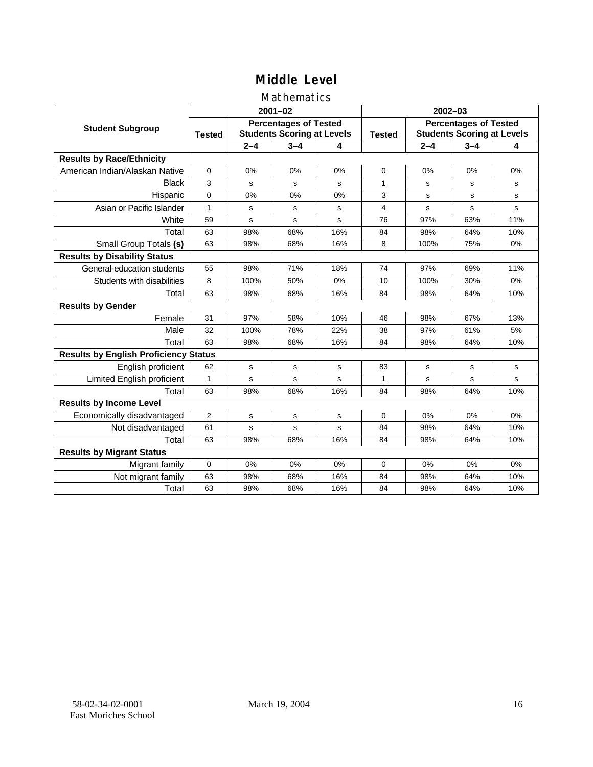### Mathematics

|                                              |                |                                                                   | $2001 - 02$ |     | $2002 - 03$ |                                                                   |                                                                                                                                  |     |  |
|----------------------------------------------|----------------|-------------------------------------------------------------------|-------------|-----|-------------|-------------------------------------------------------------------|----------------------------------------------------------------------------------------------------------------------------------|-----|--|
| <b>Student Subgroup</b>                      | <b>Tested</b>  | <b>Percentages of Tested</b><br><b>Students Scoring at Levels</b> |             |     |             | <b>Percentages of Tested</b><br><b>Students Scoring at Levels</b> |                                                                                                                                  |     |  |
|                                              |                | $2 - 4$                                                           | $3 - 4$     | 4   |             | $2 - 4$                                                           | $3 - 4$<br>0%<br>s<br>s<br>s<br>63%<br>64%<br>75%<br>69%<br>30%<br>64%<br>67%<br>61%<br>64%<br>s<br>s<br>64%<br>0%<br>64%<br>64% | 4   |  |
| <b>Results by Race/Ethnicity</b>             |                |                                                                   |             |     |             |                                                                   |                                                                                                                                  |     |  |
| American Indian/Alaskan Native               | $\mathbf 0$    | 0%                                                                | 0%          | 0%  | $\Omega$    | 0%                                                                |                                                                                                                                  | 0%  |  |
| <b>Black</b>                                 | 3              | s                                                                 | s           | s   | 1           | s                                                                 |                                                                                                                                  | s   |  |
| Hispanic                                     | $\Omega$       | 0%                                                                | 0%          | 0%  | 3           | s                                                                 |                                                                                                                                  | s   |  |
| Asian or Pacific Islander                    | $\mathbf{1}$   | s                                                                 | s           | s   | 4           | s                                                                 |                                                                                                                                  | s   |  |
| White                                        | 59             | s                                                                 | s           | S   | 76          | 97%                                                               |                                                                                                                                  | 11% |  |
| Total                                        | 63             | 98%                                                               | 68%         | 16% | 84          | 98%                                                               |                                                                                                                                  | 10% |  |
| Small Group Totals (s)                       | 63             | 98%                                                               | 68%         | 16% | 8           | 100%                                                              |                                                                                                                                  | 0%  |  |
| <b>Results by Disability Status</b>          |                |                                                                   |             |     |             |                                                                   |                                                                                                                                  |     |  |
| General-education students                   | 55             | 98%                                                               | 71%         | 18% | 74          | 97%                                                               |                                                                                                                                  | 11% |  |
| Students with disabilities                   | 8              | 100%                                                              | 50%         | 0%  | 10          | 100%                                                              |                                                                                                                                  | 0%  |  |
| Total                                        | 63             | 98%                                                               | 68%         | 16% | 84          | 98%                                                               |                                                                                                                                  | 10% |  |
| <b>Results by Gender</b>                     |                |                                                                   |             |     |             |                                                                   |                                                                                                                                  |     |  |
| Female                                       | 31             | 97%                                                               | 58%         | 10% | 46          | 98%                                                               |                                                                                                                                  | 13% |  |
| Male                                         | 32             | 100%                                                              | 78%         | 22% | 38          | 97%                                                               |                                                                                                                                  | 5%  |  |
| Total                                        | 63             | 98%                                                               | 68%         | 16% | 84          | 98%                                                               |                                                                                                                                  | 10% |  |
| <b>Results by English Proficiency Status</b> |                |                                                                   |             |     |             |                                                                   |                                                                                                                                  |     |  |
| English proficient                           | 62             | s                                                                 | s           | s   | 83          | s                                                                 |                                                                                                                                  | s   |  |
| Limited English proficient                   | $\mathbf{1}$   | s                                                                 | s           | S   | 1           | s                                                                 |                                                                                                                                  | s   |  |
| Total                                        | 63             | 98%                                                               | 68%         | 16% | 84          | 98%                                                               |                                                                                                                                  | 10% |  |
| <b>Results by Income Level</b>               |                |                                                                   |             |     |             |                                                                   |                                                                                                                                  |     |  |
| Economically disadvantaged                   | $\overline{2}$ | s                                                                 | s           | s   | 0           | 0%                                                                |                                                                                                                                  | 0%  |  |
| Not disadvantaged                            | 61             | s                                                                 | s           | s   | 84          | 98%                                                               |                                                                                                                                  | 10% |  |
| Total                                        | 63             | 98%                                                               | 68%         | 16% | 84          | 98%                                                               |                                                                                                                                  | 10% |  |
| <b>Results by Migrant Status</b>             |                |                                                                   |             |     |             |                                                                   |                                                                                                                                  |     |  |
| Migrant family                               | 0              | 0%                                                                | 0%          | 0%  | 0           | 0%                                                                | 0%                                                                                                                               | 0%  |  |
| Not migrant family                           | 63             | 98%                                                               | 68%         | 16% | 84          | 98%                                                               | 64%                                                                                                                              | 10% |  |
| Total                                        | 63             | 98%                                                               | 68%         | 16% | 84          | 98%                                                               | 64%                                                                                                                              | 10% |  |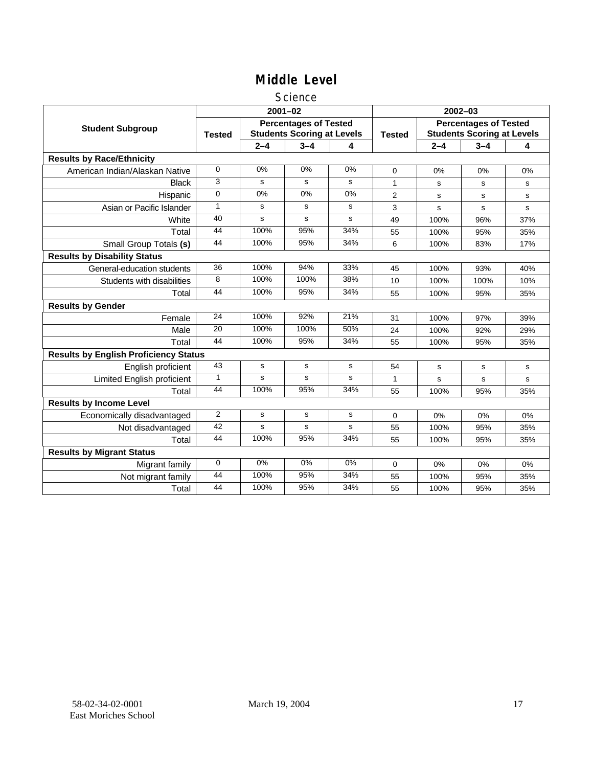#### Science

|                                              |                |         | $2001 - 02$                                                       |           | $2002 - 03$    |                                                                   |         |     |  |
|----------------------------------------------|----------------|---------|-------------------------------------------------------------------|-----------|----------------|-------------------------------------------------------------------|---------|-----|--|
| <b>Student Subgroup</b>                      | <b>Tested</b>  |         | <b>Percentages of Tested</b><br><b>Students Scoring at Levels</b> |           | <b>Tested</b>  | <b>Percentages of Tested</b><br><b>Students Scoring at Levels</b> |         |     |  |
|                                              |                | $2 - 4$ | $3 - 4$                                                           | 4         |                | $2 - 4$                                                           | $3 - 4$ | 4   |  |
| <b>Results by Race/Ethnicity</b>             |                |         |                                                                   |           |                |                                                                   |         |     |  |
| American Indian/Alaskan Native               | $\Omega$       | 0%      | 0%                                                                | 0%        | $\Omega$       | 0%                                                                | 0%      | 0%  |  |
| <b>Black</b>                                 | 3              | s       | s                                                                 | s         | 1              | s                                                                 | s       | s   |  |
| Hispanic                                     | 0              | 0%      | 0%                                                                | 0%        | $\overline{2}$ | s                                                                 | s       | s   |  |
| Asian or Pacific Islander                    | $\mathbf{1}$   | s       | s                                                                 | s         | 3              | s                                                                 | s       | s   |  |
| White                                        | 40             | s       | s                                                                 | s         | 49             | 100%                                                              | 96%     | 37% |  |
| Total                                        | 44             | 100%    | 95%                                                               | 34%       | 55             | 100%                                                              | 95%     | 35% |  |
| Small Group Totals (s)                       | 44             | 100%    | 95%                                                               | 34%       | 6              | 100%                                                              | 83%     | 17% |  |
| <b>Results by Disability Status</b>          |                |         |                                                                   |           |                |                                                                   |         |     |  |
| General-education students                   | 36             | 100%    | 94%                                                               | 33%       | 45             | 100%                                                              | 93%     | 40% |  |
| Students with disabilities                   | 8              | 100%    | 100%                                                              | 38%       | 10             | 100%                                                              | 100%    | 10% |  |
| Total                                        | 44             | 100%    | 95%                                                               | 34%       | 55             | 100%                                                              | 95%     | 35% |  |
| <b>Results by Gender</b>                     |                |         |                                                                   |           |                |                                                                   |         |     |  |
| Female                                       | 24             | 100%    | 92%                                                               | 21%       | 31             | 100%                                                              | 97%     | 39% |  |
| Male                                         | 20             | 100%    | 100%                                                              | 50%       | 24             | 100%                                                              | 92%     | 29% |  |
| Total                                        | 44             | 100%    | 95%                                                               | 34%       | 55             | 100%                                                              | 95%     | 35% |  |
| <b>Results by English Proficiency Status</b> |                |         |                                                                   |           |                |                                                                   |         |     |  |
| English proficient                           | 43             | s       | $\mathbf s$                                                       | ${\tt s}$ | 54             | $\mathbf s$                                                       | s       | s   |  |
| Limited English proficient                   | $\mathbf{1}$   | s       | s                                                                 | s         | 1              | s                                                                 | s       | s   |  |
| Total                                        | 44             | 100%    | 95%                                                               | 34%       | 55             | 100%                                                              | 95%     | 35% |  |
| <b>Results by Income Level</b>               |                |         |                                                                   |           |                |                                                                   |         |     |  |
| Economically disadvantaged                   | $\overline{2}$ | s       | $\mathbf s$                                                       | s         | $\mathbf 0$    | 0%                                                                | 0%      | 0%  |  |
| Not disadvantaged                            | 42             | s       | s                                                                 | s         | 55             | 100%                                                              | 95%     | 35% |  |
| Total                                        | 44             | 100%    | 95%                                                               | 34%       | 55             | 100%                                                              | 95%     | 35% |  |
| <b>Results by Migrant Status</b>             |                |         |                                                                   |           |                |                                                                   |         |     |  |
| Migrant family                               | $\mathbf 0$    | 0%      | 0%                                                                | 0%        | 0              | 0%                                                                | 0%      | 0%  |  |
| Not migrant family                           | 44             | 100%    | 95%                                                               | 34%       | 55             | 100%                                                              | 95%     | 35% |  |
| Total                                        | 44             | 100%    | 95%                                                               | 34%       | 55             | 100%                                                              | 95%     | 35% |  |